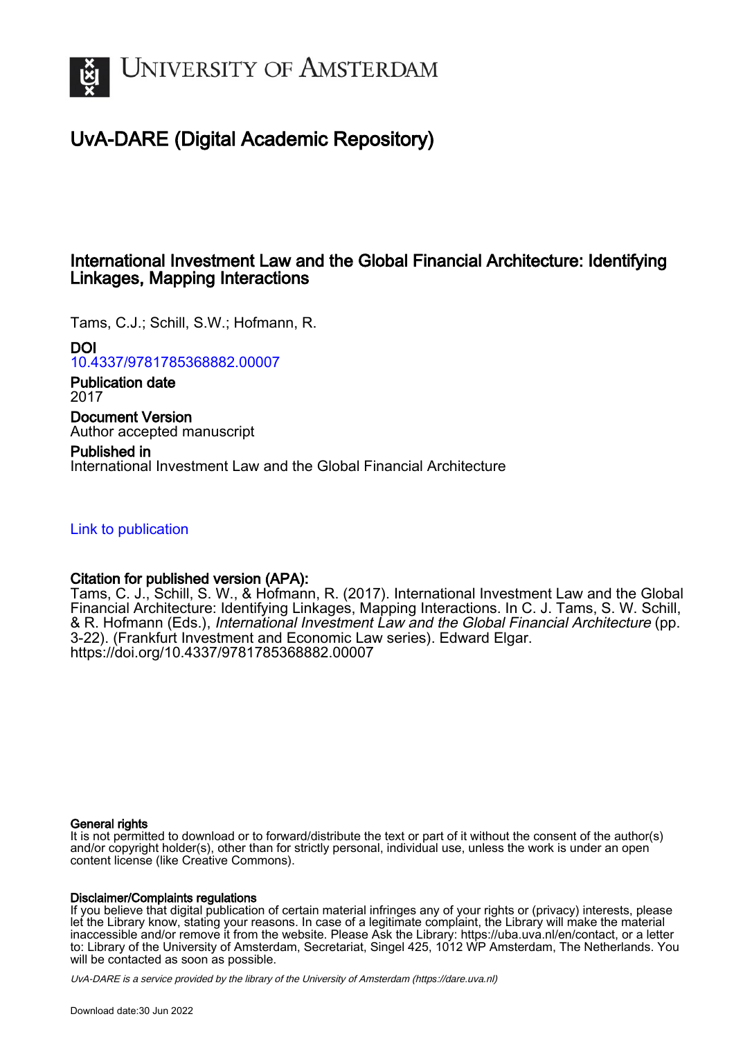

# UvA-DARE (Digital Academic Repository)

## International Investment Law and the Global Financial Architecture: Identifying Linkages, Mapping Interactions

Tams, C.J.; Schill, S.W.; Hofmann, R.

### DOI

[10.4337/9781785368882.00007](https://doi.org/10.4337/9781785368882.00007)

Publication date 2017

Document Version Author accepted manuscript

Published in International Investment Law and the Global Financial Architecture

[Link to publication](https://dare.uva.nl/personal/pure/en/publications/international-investment-law-and-the-global-financial-architecture-identifying-linkages-mapping-interactions(9c076f82-2b0a-4ff4-9d4b-9ff982e37899).html)

### Citation for published version (APA):

Tams, C. J., Schill, S. W., & Hofmann, R. (2017). International Investment Law and the Global Financial Architecture: Identifying Linkages, Mapping Interactions. In C. J. Tams, S. W. Schill, & R. Hofmann (Eds.), International Investment Law and the Global Financial Architecture (pp. 3-22). (Frankfurt Investment and Economic Law series). Edward Elgar. <https://doi.org/10.4337/9781785368882.00007>

#### General rights

It is not permitted to download or to forward/distribute the text or part of it without the consent of the author(s) and/or copyright holder(s), other than for strictly personal, individual use, unless the work is under an open content license (like Creative Commons).

#### Disclaimer/Complaints regulations

If you believe that digital publication of certain material infringes any of your rights or (privacy) interests, please let the Library know, stating your reasons. In case of a legitimate complaint, the Library will make the material inaccessible and/or remove it from the website. Please Ask the Library: https://uba.uva.nl/en/contact, or a letter to: Library of the University of Amsterdam, Secretariat, Singel 425, 1012 WP Amsterdam, The Netherlands. You will be contacted as soon as possible.

UvA-DARE is a service provided by the library of the University of Amsterdam (http*s*://dare.uva.nl)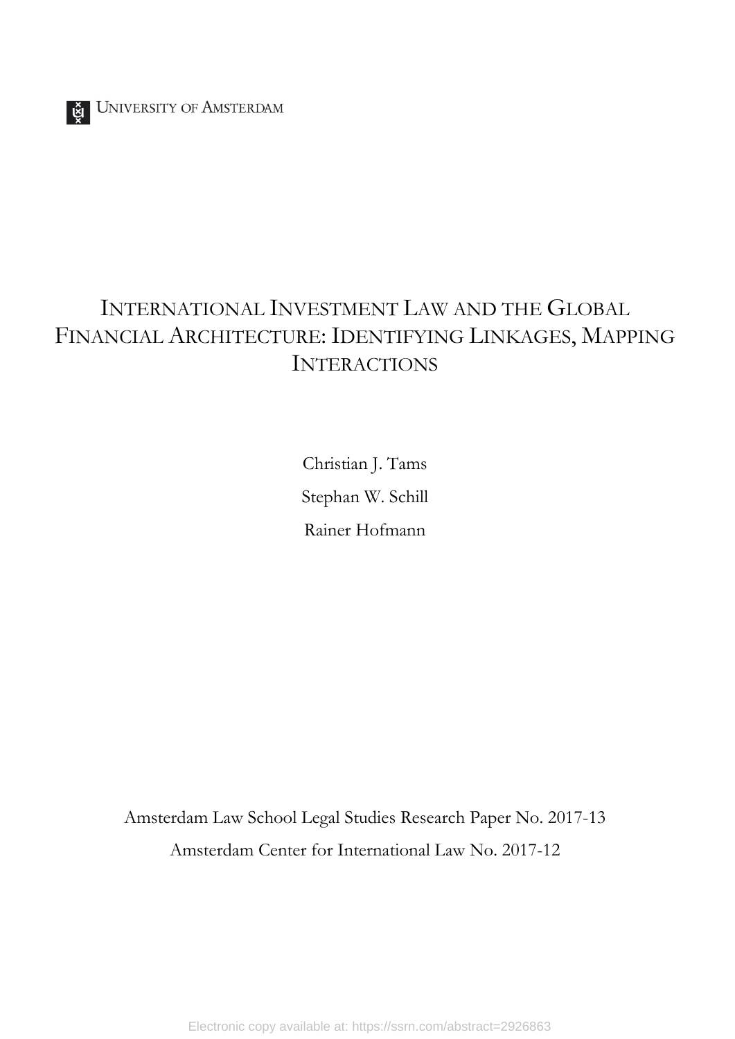UNIVERSITY OF AMSTERDAM

# INTERNATIONAL INVESTMENT LAW AND THE GLOBAL FINANCIAL ARCHITECTURE: IDENTIFYING LINKAGES, MAPPING INTERACTIONS

Christian J. Tams Stephan W. Schill Rainer Hofmann

Amsterdam Law School Legal Studies Research Paper No. 2017-13 Amsterdam Center for International Law No. 2017-12

Electronic copy available at: https://ssrn.com/abstract=2926863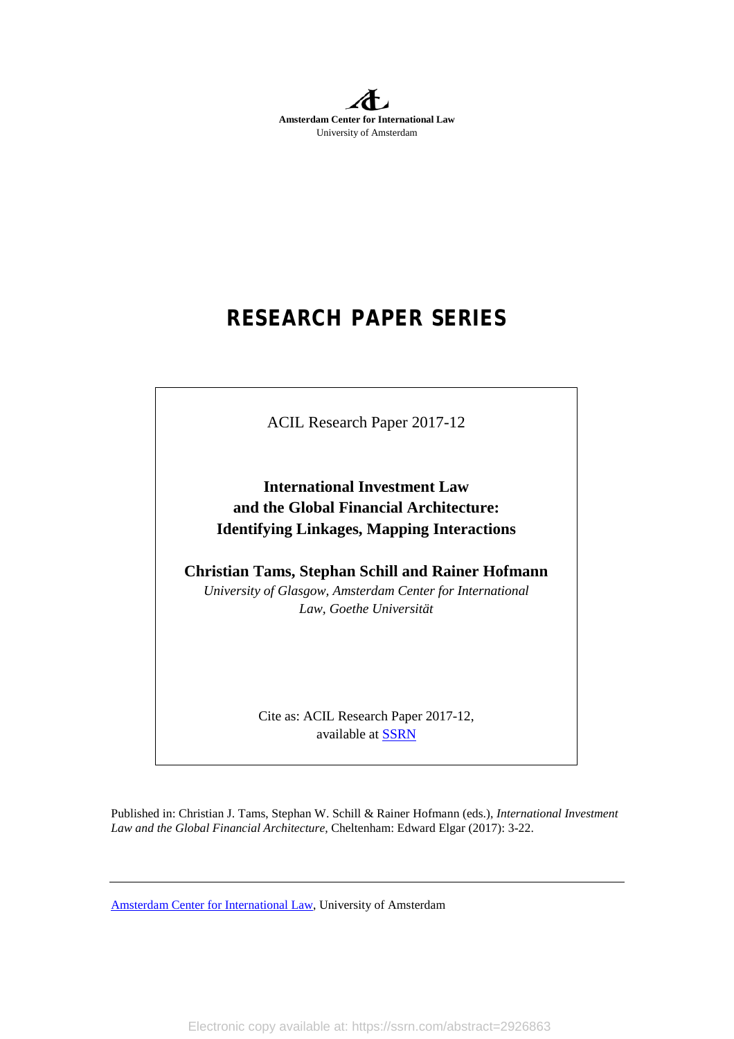**Amsterdam Center for International Law** University of Amsterdam

# **RESEARCH PAPER SERIES**

ACIL Research Paper 2017-12

**International Investment Law and the Global Financial Architecture: Identifying Linkages, Mapping Interactions**

**Christian Tams, Stephan Schill and Rainer Hofmann** *University of Glasgow, Amsterdam Center for International Law, Goethe Universität*

> Cite as: ACIL Research Paper 2017-12, available at **SSRN**

Published in: Christian J. Tams, Stephan W. Schill & Rainer Hofmann (eds.), *International Investment Law and the Global Financial Architecture,* Cheltenham: Edward Elgar (2017): 3-22.

[Amsterdam Center for International Law,](http://acil.uva.nl/) University of Amsterdam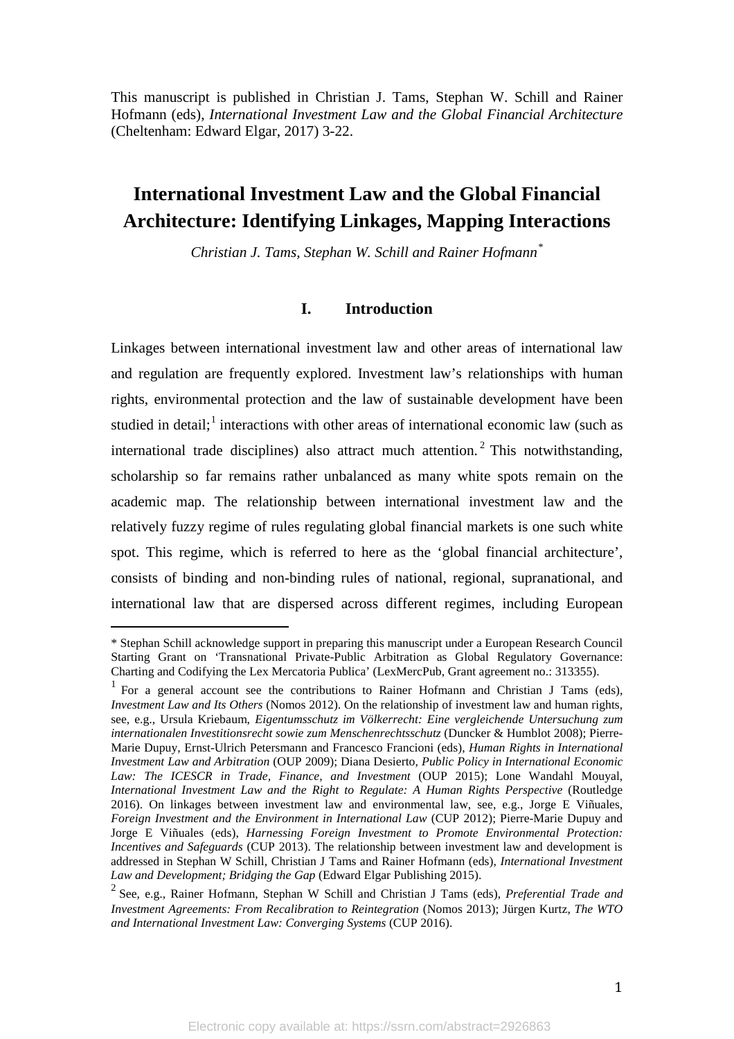This manuscript is published in Christian J. Tams, Stephan W. Schill and Rainer Hofmann (eds), *International Investment Law and the Global Financial Architecture* (Cheltenham: Edward Elgar, 2017) 3-22.

# **International Investment Law and the Global Financial Architecture: Identifying Linkages, Mapping Interactions**

*Christian J. Tams, Stephan W. Schill and Rainer Hofmann[\\*](#page-3-0)*

### **I. Introduction**

Linkages between international investment law and other areas of international law and regulation are frequently explored. Investment law's relationships with human rights, environmental protection and the law of sustainable development have been studied in detail;<sup>[1](#page-3-1)</sup> interactions with other areas of international economic law (such as international trade disciplines) also attract much attention. [2](#page-3-2) This notwithstanding, scholarship so far remains rather unbalanced as many white spots remain on the academic map. The relationship between international investment law and the relatively fuzzy regime of rules regulating global financial markets is one such white spot. This regime, which is referred to here as the 'global financial architecture', consists of binding and non-binding rules of national, regional, supranational, and international law that are dispersed across different regimes, including European

I

<span id="page-3-0"></span><sup>\*</sup> Stephan Schill acknowledge support in preparing this manuscript under a European Research Council Starting Grant on 'Transnational Private-Public Arbitration as Global Regulatory Governance: Charting and Codifying the Lex Mercatoria Publica' (LexMercPub, Grant agreement no.: 313355).

<span id="page-3-1"></span><sup>&</sup>lt;sup>1</sup> For a general account see the contributions to Rainer Hofmann and Christian J Tams (eds), *Investment Law and Its Others* (Nomos 2012). On the relationship of investment law and human rights, see, e.g., Ursula Kriebaum, *Eigentumsschutz im Völkerrecht: Eine vergleichende Untersuchung zum internationalen Investitionsrecht sowie zum Menschenrechtsschutz* (Duncker & Humblot 2008); Pierre-Marie Dupuy, Ernst-Ulrich Petersmann and Francesco Francioni (eds), *Human Rights in International Investment Law and Arbitration* (OUP 2009); Diana Desierto, *Public Policy in International Economic Law: The ICESCR in Trade, Finance, and Investment* (OUP 2015); Lone Wandahl Mouyal, *International Investment Law and the Right to Regulate: A Human Rights Perspective* (Routledge 2016). On linkages between investment law and environmental law, see, e.g., Jorge E Viñuales, *Foreign Investment and the Environment in International Law* (CUP 2012); Pierre-Marie Dupuy and Jorge E Viñuales (eds), *Harnessing Foreign Investment to Promote Environmental Protection: Incentives and Safeguards* (CUP 2013). The relationship between investment law and development is addressed in Stephan W Schill, Christian J Tams and Rainer Hofmann (eds), *International Investment Law and Development; Bridging the Gap* (Edward Elgar Publishing 2015).

<span id="page-3-2"></span><sup>2</sup> See, e.g., Rainer Hofmann, Stephan W Schill and Christian J Tams (eds), *Preferential Trade and Investment Agreements: From Recalibration to Reintegration* (Nomos 2013); Jürgen Kurtz, *The WTO and International Investment Law: Converging Systems* (CUP 2016).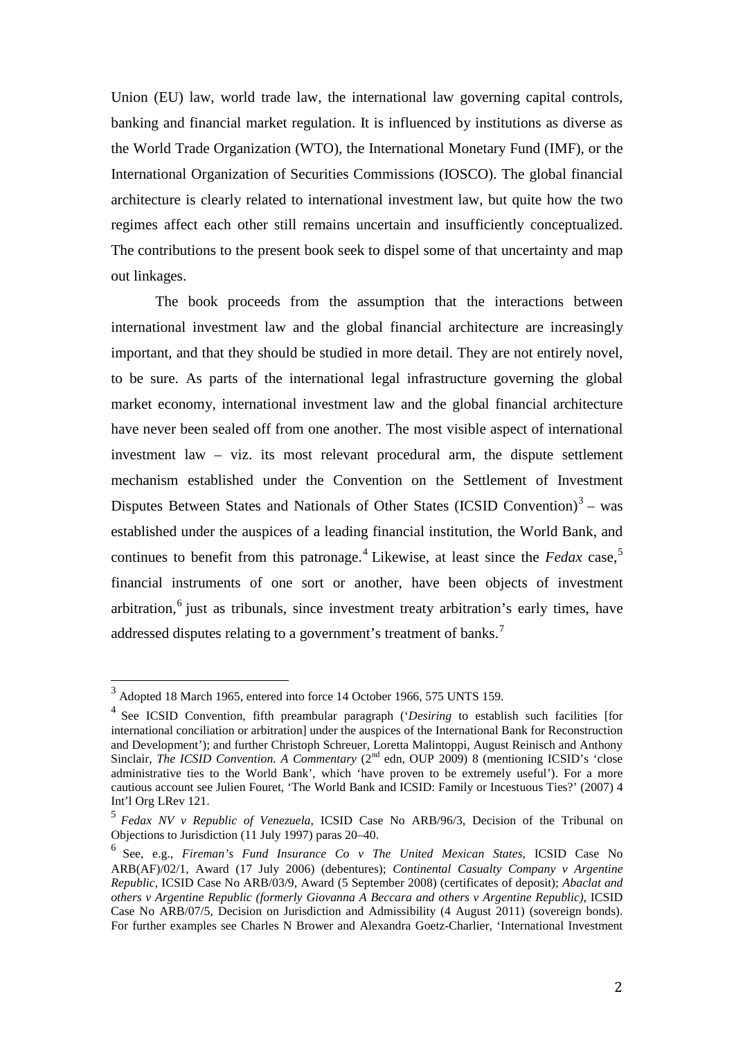Union (EU) law, world trade law, the international law governing capital controls, banking and financial market regulation. It is influenced by institutions as diverse as the World Trade Organization (WTO), the International Monetary Fund (IMF), or the International Organization of Securities Commissions (IOSCO). The global financial architecture is clearly related to international investment law, but quite how the two regimes affect each other still remains uncertain and insufficiently conceptualized. The contributions to the present book seek to dispel some of that uncertainty and map out linkages.

<span id="page-4-4"></span>The book proceeds from the assumption that the interactions between international investment law and the global financial architecture are increasingly important, and that they should be studied in more detail. They are not entirely novel, to be sure. As parts of the international legal infrastructure governing the global market economy, international investment law and the global financial architecture have never been sealed off from one another. The most visible aspect of international investment law – viz. its most relevant procedural arm, the dispute settlement mechanism established under the Convention on the Settlement of Investment Disputes Between States and Nationals of Other States (ICSID Convention) $3 3 -$  was established under the auspices of a leading financial institution, the World Bank, and continues to benefit from this patronage.<sup>[4](#page-4-1)</sup> Likewise, at least since the *Fedax* case,<sup>[5](#page-4-2)</sup> financial instruments of one sort or another, have been objects of investment arbitration, $6$  just as tribunals, since investment treaty arbitration's early times, have addressed disputes relating to a government's treatment of banks.<sup>[7](#page-4-4)</sup>

<span id="page-4-0"></span><sup>3</sup> Adopted <sup>18</sup> March 1965, entered into force <sup>14</sup> October 1966, <sup>575</sup> UNTS 159.

<span id="page-4-1"></span><sup>4</sup> See ICSID Convention, fifth preambular paragraph ('*Desiring* to establish such facilities [for international conciliation or arbitration] under the auspices of the International Bank for Reconstruction and Development'); and further Christoph Schreuer, Loretta Malintoppi, August Reinisch and Anthony Sinclair, *The ICSID Convention.* A *Commentary* (2<sup>nd</sup> edn, OUP 2009) 8 (mentioning ICSID's 'close administrative ties to the World Bank', which 'have proven to be extremely useful'). For a more cautious account see Julien Fouret, 'The World Bank and ICSID: Family or Incestuous Ties?' (2007) 4 Int'l Org LRev 121.

<span id="page-4-2"></span><sup>5</sup> *Fedax NV v Republic of Venezuela*, ICSID Case No ARB/96/3, Decision of the Tribunal on Objections to Jurisdiction (11 July 1997) paras 20–40.

<span id="page-4-3"></span><sup>6</sup> See, e.g., *Fireman's Fund Insurance Co v The United Mexican States*, ICSID Case No ARB(AF)/02/1, Award (17 July 2006) (debentures); *Continental Casualty Company v Argentine Republic*, ICSID Case No ARB/03/9, Award (5 September 2008) (certificates of deposit); *Abaclat and others v Argentine Republic (formerly Giovanna A Beccara and others v Argentine Republic)*, ICSID Case No ARB/07/5, Decision on Jurisdiction and Admissibility (4 August 2011) (sovereign bonds). For further examples see Charles N Brower and Alexandra Goetz-Charlier, 'International Investment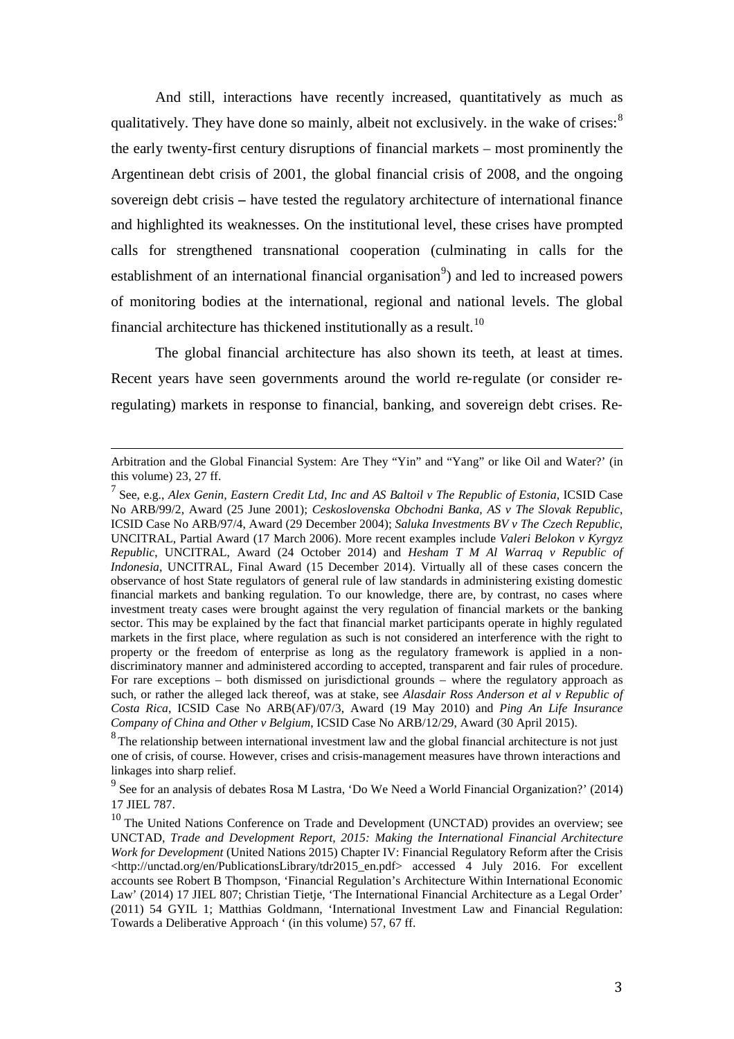And still, interactions have recently increased, quantitatively as much as qualitatively. They have done so mainly, albeit not exclusively. in the wake of crises: $8$ the early twenty-first century disruptions of financial markets – most prominently the Argentinean debt crisis of 2001, the global financial crisis of 2008, and the ongoing sovereign debt crisis **–** have tested the regulatory architecture of international finance and highlighted its weaknesses. On the institutional level, these crises have prompted calls for strengthened transnational cooperation (culminating in calls for the establishment of an international financial organisation<sup>[9](#page-5-1)</sup>) and led to increased powers of monitoring bodies at the international, regional and national levels. The global financial architecture has thickened institutionally as a result.<sup>[10](#page-5-2)</sup>

The global financial architecture has also shown its teeth, at least at times. Recent years have seen governments around the world re-regulate (or consider reregulating) markets in response to financial, banking, and sovereign debt crises. Re-

<span id="page-5-0"></span><sup>8</sup> The relationship between international investment law and the global financial architecture is not just one of crisis, of course. However, crises and crisis-management measures have thrown interactions and linkages into sharp relief.

<span id="page-5-1"></span><sup>9</sup> See for an analysis of debates Rosa M Lastra, 'Do We Need a World Financial Organization?' (2014) 17 JIEL 787.

Arbitration and the Global Financial System: Are They "Yin" and "Yang" or like Oil and Water?' (in this volume) 23, 27 ff.

<sup>7</sup> See, e.g., *Alex Genin, Eastern Credit Ltd, Inc and AS Baltoil v The Republic of Estonia*, ICSID Case No ARB/99/2, Award (25 June 2001); *Ceskoslovenska Obchodni Banka, AS v The Slovak Republic*, ICSID Case No ARB/97/4, Award (29 December 2004); *Saluka Investments BV v The Czech Republic,* UNCITRAL, Partial Award (17 March 2006). More recent examples include *Valeri Belokon v Kyrgyz Republic*, UNCITRAL, Award (24 October 2014) and *Hesham T M Al Warraq v Republic of Indonesia*, UNCITRAL, Final Award (15 December 2014). Virtually all of these cases concern the observance of host State regulators of general rule of law standards in administering existing domestic financial markets and banking regulation. To our knowledge, there are, by contrast, no cases where investment treaty cases were brought against the very regulation of financial markets or the banking sector. This may be explained by the fact that financial market participants operate in highly regulated markets in the first place, where regulation as such is not considered an interference with the right to property or the freedom of enterprise as long as the regulatory framework is applied in a nondiscriminatory manner and administered according to accepted, transparent and fair rules of procedure. For rare exceptions – both dismissed on jurisdictional grounds – where the regulatory approach as such, or rather the alleged lack thereof, was at stake, see *Alasdair Ross Anderson et al v Republic of Costa Rica*, ICSID Case No ARB(AF)/07/3, Award (19 May 2010) and *Ping An Life Insurance Company of China and Other v Belgium*, ICSID Case No ARB/12/29, Award (30 April 2015).

<span id="page-5-2"></span><sup>&</sup>lt;sup>10</sup> The United Nations Conference on Trade and Development (UNCTAD) provides an overview; see UNCTAD, *Trade and Development Report, 2015: Making the International Financial Architecture Work for Development* (United Nations 2015) Chapter IV: Financial Regulatory Reform after the Crisis <http://unctad.org/en/PublicationsLibrary/tdr2015\_en.pdf> accessed 4 July 2016. For excellent accounts see Robert B Thompson, 'Financial Regulation's Architecture Within International Economic Law' (2014) 17 JIEL 807; Christian Tietje, 'The International Financial Architecture as a Legal Order' (2011) 54 GYIL 1; Matthias Goldmann, 'International Investment Law and Financial Regulation: Towards a Deliberative Approach ' (in this volume) 57, 67 ff.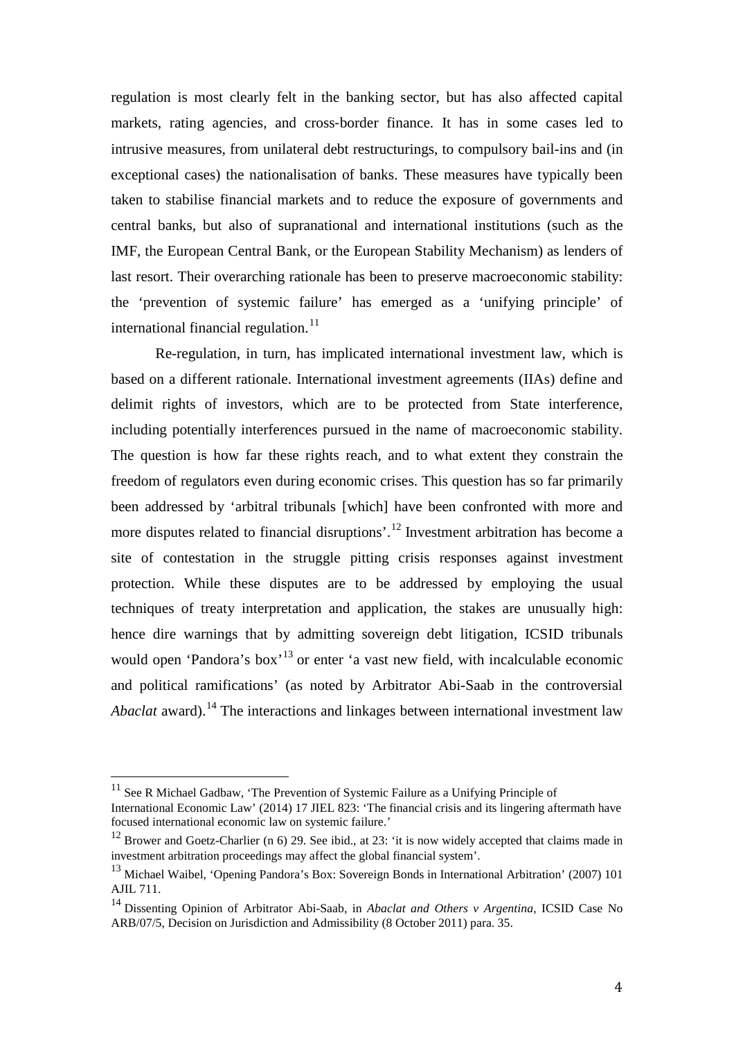regulation is most clearly felt in the banking sector, but has also affected capital markets, rating agencies, and cross-border finance. It has in some cases led to intrusive measures, from unilateral debt restructurings, to compulsory bail-ins and (in exceptional cases) the nationalisation of banks. These measures have typically been taken to stabilise financial markets and to reduce the exposure of governments and central banks, but also of supranational and international institutions (such as the IMF, the European Central Bank, or the European Stability Mechanism) as lenders of last resort. Their overarching rationale has been to preserve macroeconomic stability: the 'prevention of systemic failure' has emerged as a 'unifying principle' of international financial regulation.<sup>[11](#page-6-0)</sup>

Re-regulation, in turn, has implicated international investment law, which is based on a different rationale. International investment agreements (IIAs) define and delimit rights of investors, which are to be protected from State interference, including potentially interferences pursued in the name of macroeconomic stability. The question is how far these rights reach, and to what extent they constrain the freedom of regulators even during economic crises. This question has so far primarily been addressed by 'arbitral tribunals [which] have been confronted with more and more disputes related to financial disruptions'.[12](#page-6-1) Investment arbitration has become a site of contestation in the struggle pitting crisis responses against investment protection. While these disputes are to be addressed by employing the usual techniques of treaty interpretation and application, the stakes are unusually high: hence dire warnings that by admitting sovereign debt litigation, ICSID tribunals would open 'Pandora's box<sup>[13](#page-6-2)</sup> or enter 'a vast new field, with incalculable economic and political ramifications' (as noted by Arbitrator Abi-Saab in the controversial *Abaclat* award).<sup>[14](#page-6-3)</sup> The interactions and linkages between international investment law

<span id="page-6-0"></span><sup>&</sup>lt;sup>11</sup> See R Michael Gadbaw, 'The Prevention of Systemic Failure as a Unifying Principle of International Economic Law' (2014) 17 JIEL 823: 'The financial crisis and its lingering aftermath have focused international economic law on systemic failure.'

<span id="page-6-1"></span> $12$  Brower and Goetz-Charlier (n 6) 29. See ibid., at 23: 'it is now widely accepted that claims made in investment arbitration proceedings may affect the global financial system'.

<span id="page-6-2"></span><sup>&</sup>lt;sup>13</sup> Michael Waibel, 'Opening Pandora's Box: Sovereign Bonds in International Arbitration' (2007) 101 AJIL 711.

<span id="page-6-3"></span><sup>14</sup> Dissenting Opinion of Arbitrator Abi-Saab, in *Abaclat and Others v Argentina,* ICSID Case No ARB/07/5, Decision on Jurisdiction and Admissibility (8 October 2011) para. 35.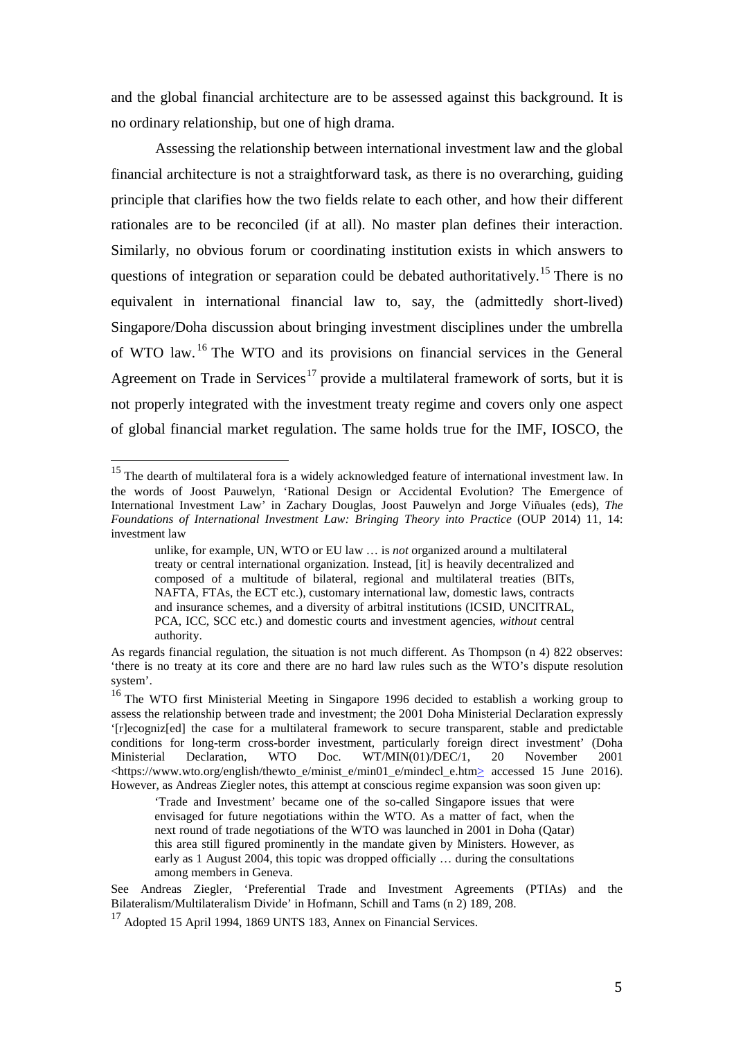and the global financial architecture are to be assessed against this background. It is no ordinary relationship, but one of high drama.

Assessing the relationship between international investment law and the global financial architecture is not a straightforward task, as there is no overarching, guiding principle that clarifies how the two fields relate to each other, and how their different rationales are to be reconciled (if at all). No master plan defines their interaction. Similarly, no obvious forum or coordinating institution exists in which answers to questions of integration or separation could be debated authoritatively.<sup>[15](#page-7-0)</sup> There is no equivalent in international financial law to, say, the (admittedly short-lived) Singapore/Doha discussion about bringing investment disciplines under the umbrella of WTO law. [16](#page-7-1) The WTO and its provisions on financial services in the General Agreement on Trade in Services<sup>[17](#page-7-2)</sup> provide a multilateral framework of sorts, but it is not properly integrated with the investment treaty regime and covers only one aspect of global financial market regulation. The same holds true for the IMF, IOSCO, the

<span id="page-7-0"></span><sup>&</sup>lt;sup>15</sup> The dearth of multilateral fora is a widely acknowledged feature of international investment law. In the words of Joost Pauwelyn, 'Rational Design or Accidental Evolution? The Emergence of International Investment Law' in Zachary Douglas, Joost Pauwelyn and Jorge Viñuales (eds), *The Foundations of International Investment Law: Bringing Theory into Practice* (OUP 2014) 11, 14: investment law

unlike, for example, UN, WTO or EU law … is *not* organized around a multilateral treaty or central international organization. Instead, [it] is heavily decentralized and composed of a multitude of bilateral, regional and multilateral treaties (BITs, NAFTA, FTAs, the ECT etc.), customary international law, domestic laws, contracts and insurance schemes, and a diversity of arbitral institutions (ICSID, UNCITRAL, PCA, ICC, SCC etc.) and domestic courts and investment agencies, *without* central authority.

As regards financial regulation, the situation is not much different. As Thompson (n 4) 822 observes: 'there is no treaty at its core and there are no hard law rules such as the WTO's dispute resolution system'.

<span id="page-7-1"></span><sup>&</sup>lt;sup>16</sup> The WTO first Ministerial Meeting in Singapore 1996 decided to establish a working group to assess the relationship between trade and investment; the 2001 Doha Ministerial Declaration expressly '[r]ecogniz[ed] the case for a multilateral framework to secure transparent, stable and predictable conditions for long-term cross-border investment, particularly foreign direct investment' (Doha Ministerial Declaration. WTO Doc. WT/MIN(01)/DEC/1. 20 November 2001 Declaration, WTO Doc. WT/MIN(01)/DEC/1, 20 November 2001 <https://www.wto.org/english/thewto\_e/minist\_e/min01\_e/mindecl\_e.htm> accessed 15 June 2016). However, as Andreas Ziegler notes, this attempt at conscious regime expansion was soon given up:

<sup>&#</sup>x27;Trade and Investment' became one of the so-called Singapore issues that were envisaged for future negotiations within the WTO. As a matter of fact, when the next round of trade negotiations of the WTO was launched in 2001 in Doha (Qatar) this area still figured prominently in the mandate given by Ministers. However, as early as 1 August 2004, this topic was dropped officially … during the consultations among members in Geneva.

See Andreas Ziegler, 'Preferential Trade and Investment Agreements (PTIAs) and the Bilateralism/Multilateralism Divide' in Hofmann, Schill and Tams (n 2) 189, 208.

<span id="page-7-2"></span><sup>&</sup>lt;sup>17</sup> Adopted 15 April 1994, 1869 UNTS 183, Annex on Financial Services.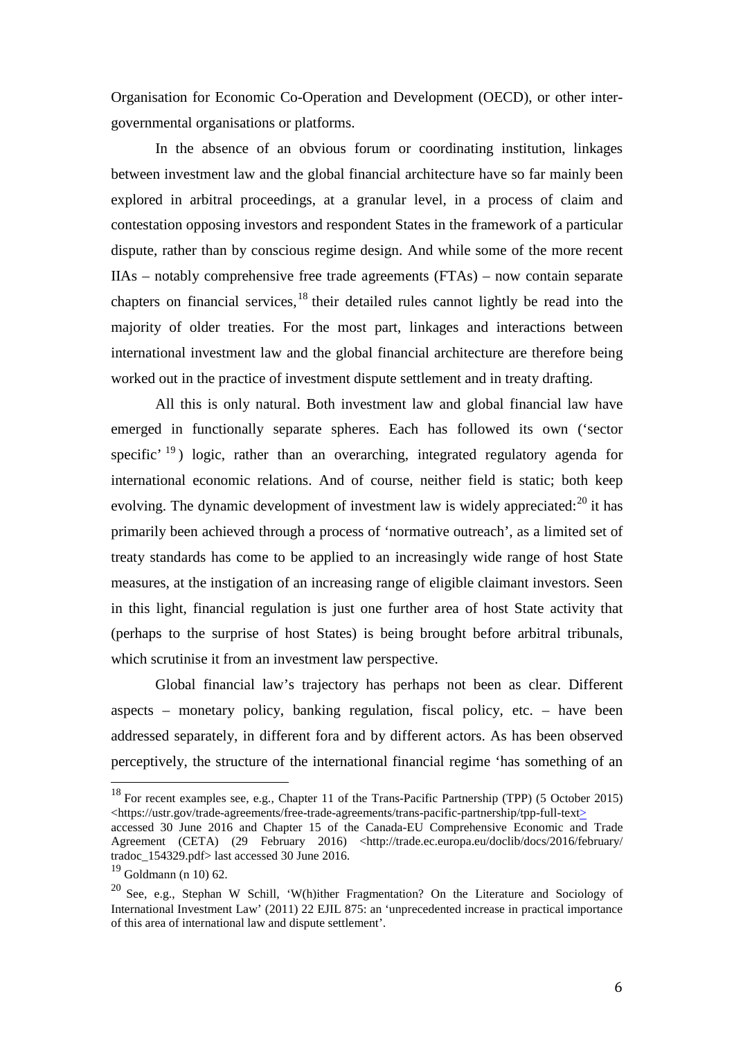Organisation for Economic Co-Operation and Development (OECD), or other intergovernmental organisations or platforms.

In the absence of an obvious forum or coordinating institution, linkages between investment law and the global financial architecture have so far mainly been explored in arbitral proceedings, at a granular level, in a process of claim and contestation opposing investors and respondent States in the framework of a particular dispute, rather than by conscious regime design. And while some of the more recent IIAs – notably comprehensive free trade agreements (FTAs) – now contain separate chapters on financial services,  $^{18}$  $^{18}$  $^{18}$  their detailed rules cannot lightly be read into the majority of older treaties. For the most part, linkages and interactions between international investment law and the global financial architecture are therefore being worked out in the practice of investment dispute settlement and in treaty drafting.

All this is only natural. Both investment law and global financial law have emerged in functionally separate spheres. Each has followed its own ('sector specific<sup>' [19](#page-8-1)</sup>) logic, rather than an overarching, integrated regulatory agenda for international economic relations. And of course, neither field is static; both keep evolving. The dynamic development of investment law is widely appreciated:<sup>[20](#page-8-2)</sup> it has primarily been achieved through a process of 'normative outreach', as a limited set of treaty standards has come to be applied to an increasingly wide range of host State measures, at the instigation of an increasing range of eligible claimant investors. Seen in this light, financial regulation is just one further area of host State activity that (perhaps to the surprise of host States) is being brought before arbitral tribunals, which scrutinise it from an investment law perspective.

Global financial law's trajectory has perhaps not been as clear. Different aspects – monetary policy, banking regulation, fiscal policy, etc. – have been addressed separately, in different fora and by different actors. As has been observed perceptively, the structure of the international financial regime 'has something of an

<span id="page-8-0"></span><sup>18</sup> For recent examples see, e.g., Chapter <sup>11</sup> of the Trans-Pacific Partnership (TPP) (5 October 2015) <https://ustr.gov/trade-agreements/free-trade-agreements/trans-pacific-partnership/tpp-full-text>

accessed 30 June 2016 and Chapter 15 of the Canada-EU Comprehensive Economic and Trade Agreement (CETA) (29 February 2016) <http://trade.ec.europa.eu/doclib/docs/2016/february/ tradoc\_154329.pdf> last accessed 30 June 2016.

 $^{19}$  Goldmann (n 10) 62.

<span id="page-8-2"></span><span id="page-8-1"></span><sup>20</sup> See, e.g., Stephan W Schill, 'W(h)ither Fragmentation? On the Literature and Sociology of International Investment Law' (2011) 22 EJIL 875: an 'unprecedented increase in practical importance of this area of international law and dispute settlement'.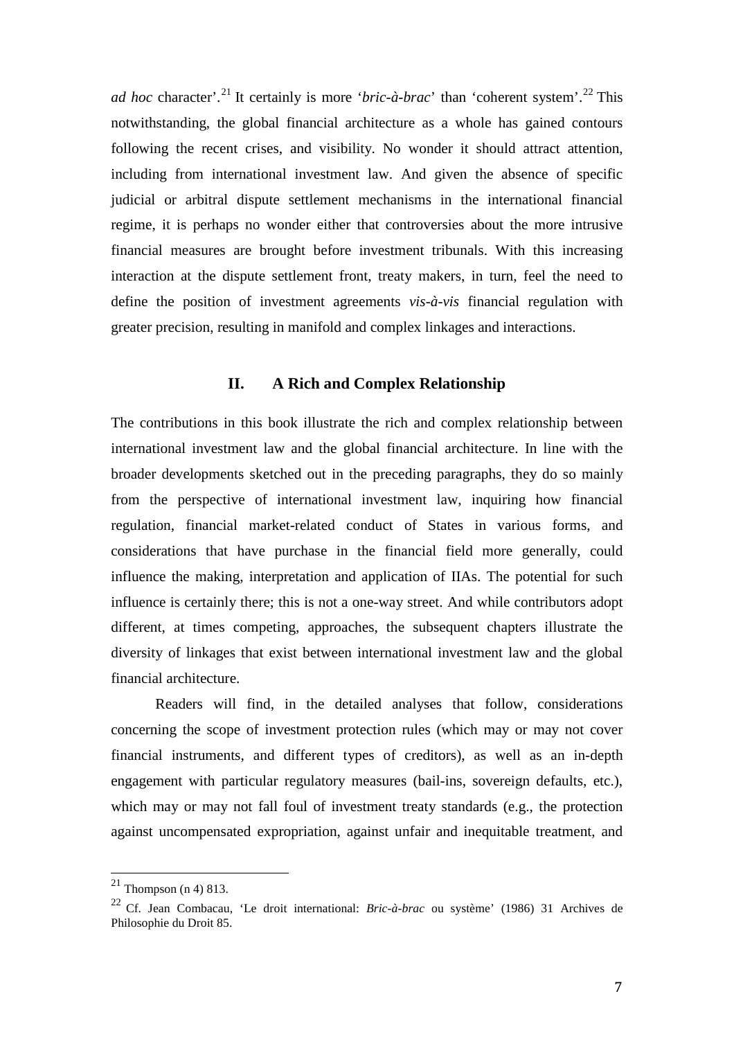*ad hoc* character'.<sup>[21](#page-9-0)</sup> It certainly is more '*bric-à-brac*' than 'coherent system'.<sup>[22](#page-9-1)</sup> This notwithstanding, the global financial architecture as a whole has gained contours following the recent crises, and visibility. No wonder it should attract attention, including from international investment law. And given the absence of specific judicial or arbitral dispute settlement mechanisms in the international financial regime, it is perhaps no wonder either that controversies about the more intrusive financial measures are brought before investment tribunals. With this increasing interaction at the dispute settlement front, treaty makers, in turn, feel the need to define the position of investment agreements *vis-à-vis* financial regulation with greater precision, resulting in manifold and complex linkages and interactions.

### **II. A Rich and Complex Relationship**

The contributions in this book illustrate the rich and complex relationship between international investment law and the global financial architecture. In line with the broader developments sketched out in the preceding paragraphs, they do so mainly from the perspective of international investment law, inquiring how financial regulation, financial market-related conduct of States in various forms, and considerations that have purchase in the financial field more generally, could influence the making, interpretation and application of IIAs. The potential for such influence is certainly there; this is not a one-way street. And while contributors adopt different, at times competing, approaches, the subsequent chapters illustrate the diversity of linkages that exist between international investment law and the global financial architecture.

Readers will find, in the detailed analyses that follow, considerations concerning the scope of investment protection rules (which may or may not cover financial instruments, and different types of creditors), as well as an in-depth engagement with particular regulatory measures (bail-ins, sovereign defaults, etc.), which may or may not fall foul of investment treaty standards (e.g., the protection against uncompensated expropriation, against unfair and inequitable treatment, and

 $21$  Thompson (n 4) 813.

<span id="page-9-1"></span><span id="page-9-0"></span><sup>22</sup> Cf. Jean Combacau, 'Le droit international: *Bric-à-brac* ou système' (1986) 31 Archives de Philosophie du Droit 85.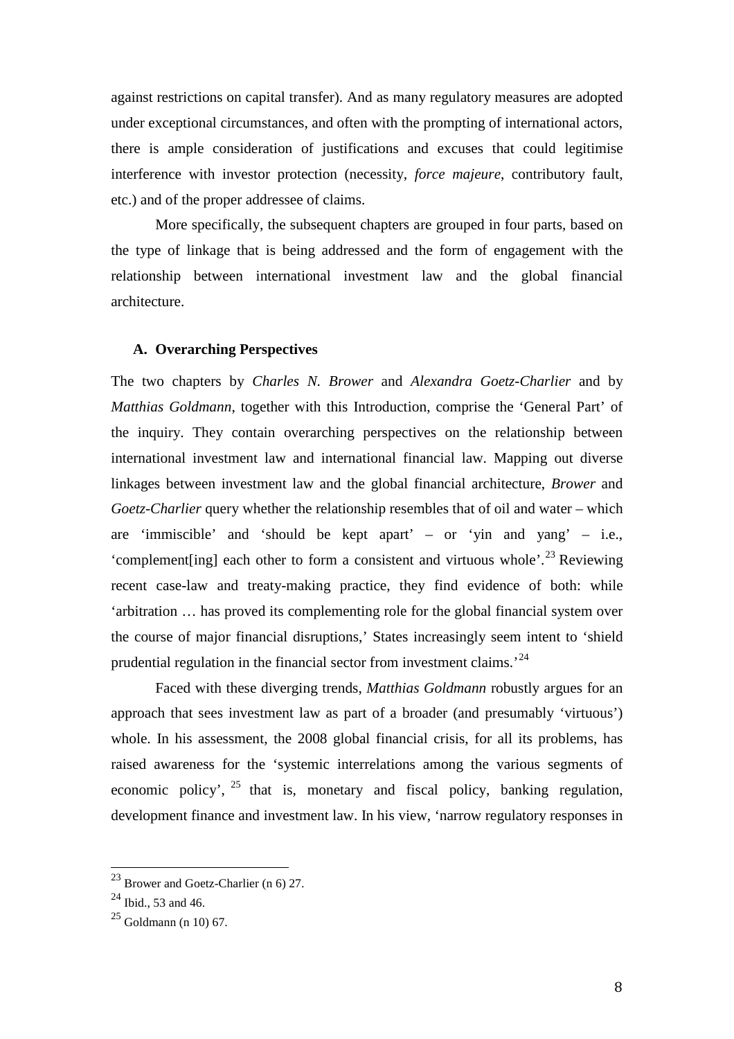against restrictions on capital transfer). And as many regulatory measures are adopted under exceptional circumstances, and often with the prompting of international actors, there is ample consideration of justifications and excuses that could legitimise interference with investor protection (necessity, *force majeure*, contributory fault, etc.) and of the proper addressee of claims.

More specifically, the subsequent chapters are grouped in four parts, based on the type of linkage that is being addressed and the form of engagement with the relationship between international investment law and the global financial architecture.

### **A. Overarching Perspectives**

The two chapters by *Charles N. Brower* and *Alexandra Goetz-Charlier* and by *Matthias Goldmann*, together with this Introduction, comprise the 'General Part' of the inquiry. They contain overarching perspectives on the relationship between international investment law and international financial law. Mapping out diverse linkages between investment law and the global financial architecture, *Brower* and *Goetz-Charlier* query whether the relationship resembles that of oil and water – which are 'immiscible' and 'should be kept apart' – or 'yin and yang' – i.e., 'complement [ing] each other to form a consistent and virtuous whole'.<sup>[23](#page-10-0)</sup> Reviewing recent case-law and treaty-making practice, they find evidence of both: while 'arbitration … has proved its complementing role for the global financial system over the course of major financial disruptions,' States increasingly seem intent to 'shield prudential regulation in the financial sector from investment claims.<sup>'[24](#page-10-1)</sup>

Faced with these diverging trends, *Matthias Goldmann* robustly argues for an approach that sees investment law as part of a broader (and presumably 'virtuous') whole. In his assessment, the 2008 global financial crisis, for all its problems, has raised awareness for the 'systemic interrelations among the various segments of economic policy',  $25$  that is, monetary and fiscal policy, banking regulation, development finance and investment law. In his view, 'narrow regulatory responses in

<span id="page-10-0"></span><sup>23</sup> Brower and Goetz-Charlier (n 6) 27.

<span id="page-10-1"></span> $^{24}$  Ibid., 53 and 46.

<span id="page-10-2"></span> $25$  Goldmann (n 10) 67.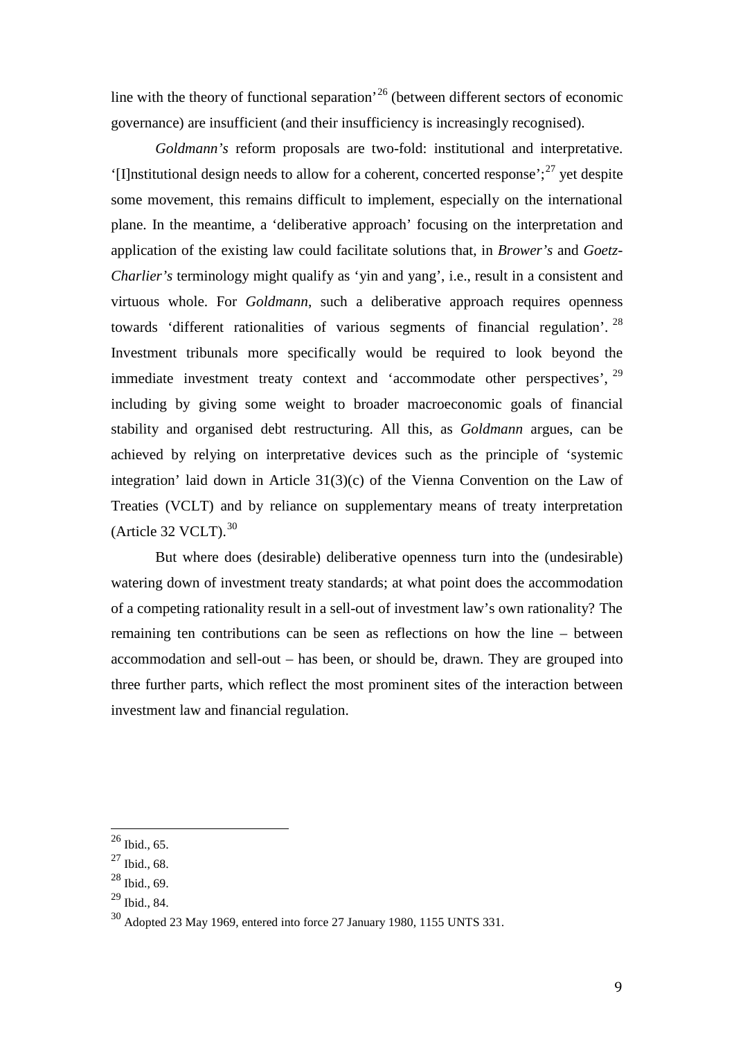line with the theory of functional separation'[26](#page-11-0) (between different sectors of economic governance) are insufficient (and their insufficiency is increasingly recognised).

*Goldmann's* reform proposals are two-fold: institutional and interpretative. '[I]nstitutional design needs to allow for a coherent, concerted response'; $^{27}$  $^{27}$  $^{27}$  yet despite some movement, this remains difficult to implement, especially on the international plane. In the meantime, a 'deliberative approach' focusing on the interpretation and application of the existing law could facilitate solutions that, in *Brower's* and *Goetz-Charlier's* terminology might qualify as 'yin and yang', i.e., result in a consistent and virtuous whole. For *Goldmann*, such a deliberative approach requires openness towards 'different rationalities of various segments of financial regulation'.<sup>[28](#page-11-2)</sup> Investment tribunals more specifically would be required to look beyond the immediate investment treaty context and 'accommodate other perspectives',  $29$ including by giving some weight to broader macroeconomic goals of financial stability and organised debt restructuring. All this, as *Goldmann* argues, can be achieved by relying on interpretative devices such as the principle of 'systemic integration' laid down in Article 31(3)(c) of the Vienna Convention on the Law of Treaties (VCLT) and by reliance on supplementary means of treaty interpretation (Article 32 VCLT). $30$ 

But where does (desirable) deliberative openness turn into the (undesirable) watering down of investment treaty standards; at what point does the accommodation of a competing rationality result in a sell-out of investment law's own rationality? The remaining ten contributions can be seen as reflections on how the line – between accommodation and sell-out – has been, or should be, drawn. They are grouped into three further parts, which reflect the most prominent sites of the interaction between investment law and financial regulation.

<span id="page-11-0"></span><sup>26</sup> Ibid., 65.

<span id="page-11-1"></span> $^{27}$  Ibid., 68.

<span id="page-11-2"></span> $^{28}$  Ibid., 69.

<span id="page-11-3"></span> $^{29}$  Ibid., 84.

<span id="page-11-4"></span> $30$  Adopted 23 May 1969, entered into force 27 January 1980, 1155 UNTS 331.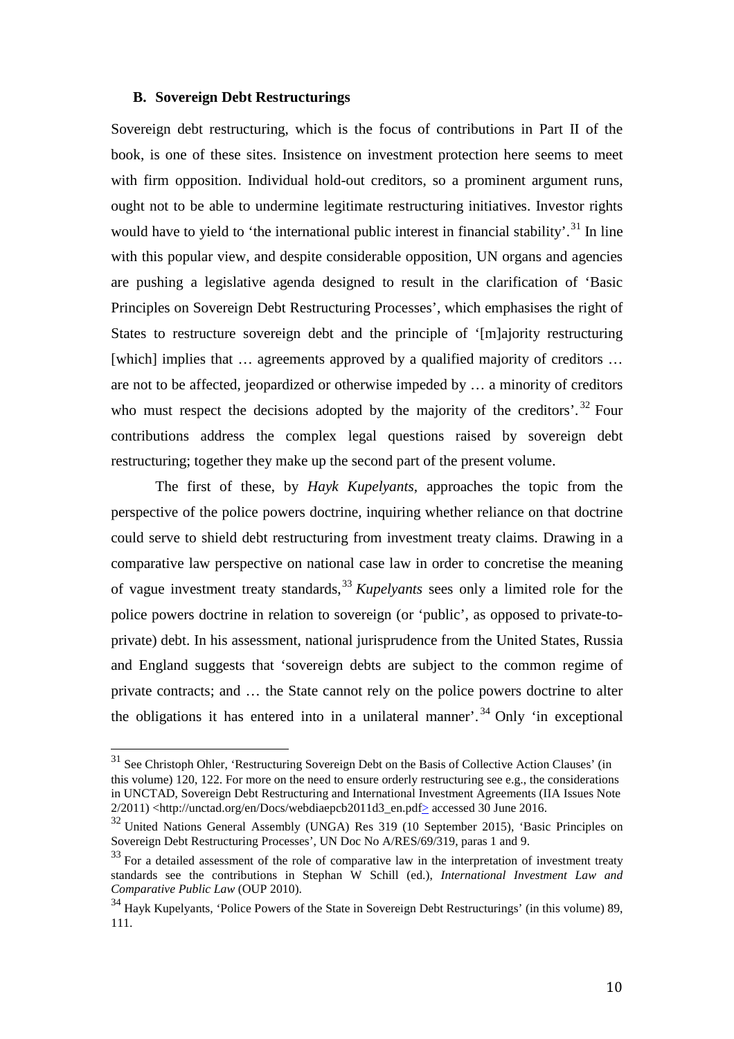### **B. Sovereign Debt Restructurings**

Sovereign debt restructuring, which is the focus of contributions in Part II of the book, is one of these sites. Insistence on investment protection here seems to meet with firm opposition. Individual hold-out creditors, so a prominent argument runs, ought not to be able to undermine legitimate restructuring initiatives. Investor rights would have to yield to 'the international public interest in financial stability'.<sup>[31](#page-12-0)</sup> In line with this popular view, and despite considerable opposition, UN organs and agencies are pushing a legislative agenda designed to result in the clarification of 'Basic Principles on Sovereign Debt Restructuring Processes', which emphasises the right of States to restructure sovereign debt and the principle of '[m]ajority restructuring [which] implies that ... agreements approved by a qualified majority of creditors ... are not to be affected, jeopardized or otherwise impeded by … a minority of creditors who must respect the decisions adopted by the majority of the creditors'.<sup>[32](#page-12-1)</sup> Four contributions address the complex legal questions raised by sovereign debt restructuring; together they make up the second part of the present volume.

The first of these, by *Hayk Kupelyants*, approaches the topic from the perspective of the police powers doctrine, inquiring whether reliance on that doctrine could serve to shield debt restructuring from investment treaty claims. Drawing in a comparative law perspective on national case law in order to concretise the meaning of vague investment treaty standards,<sup>[33](#page-12-2)</sup> *Kupelyants* sees only a limited role for the police powers doctrine in relation to sovereign (or 'public', as opposed to private-toprivate) debt. In his assessment, national jurisprudence from the United States, Russia and England suggests that 'sovereign debts are subject to the common regime of private contracts; and … the State cannot rely on the police powers doctrine to alter the obligations it has entered into in a unilateral manner'.<sup>[34](#page-12-3)</sup> Only 'in exceptional

<span id="page-12-0"></span><sup>&</sup>lt;sup>31</sup> See Christoph Ohler, 'Restructuring Sovereign Debt on the Basis of Collective Action Clauses' (in this volume) 120, 122. For more on the need to ensure orderly restructuring see e.g., the considerations in UNCTAD, Sovereign Debt Restructuring and International Investment Agreements (IIA Issues Note 2/2011) <http://unctad.org/en/Docs/webdiaepcb2011d3\_en.pdf> accessed 30 June 2016.

<span id="page-12-1"></span><sup>&</sup>lt;sup>32</sup> United Nations General Assembly (UNGA) Res 319 (10 September 2015), 'Basic Principles on Sovereign Debt Restructuring Processes', UN Doc No A/RES/69/319, paras 1 and 9.

<span id="page-12-2"></span> $33$  For a detailed assessment of the role of comparative law in the interpretation of investment treaty standards see the contributions in Stephan W Schill (ed.), *International Investment Law and Comparative Public Law* (OUP 2010).

<span id="page-12-3"></span><sup>34</sup> Hayk Kupelyants, 'Police Powers of the State in Sovereign Debt Restructurings' (in this volume) 89, 111.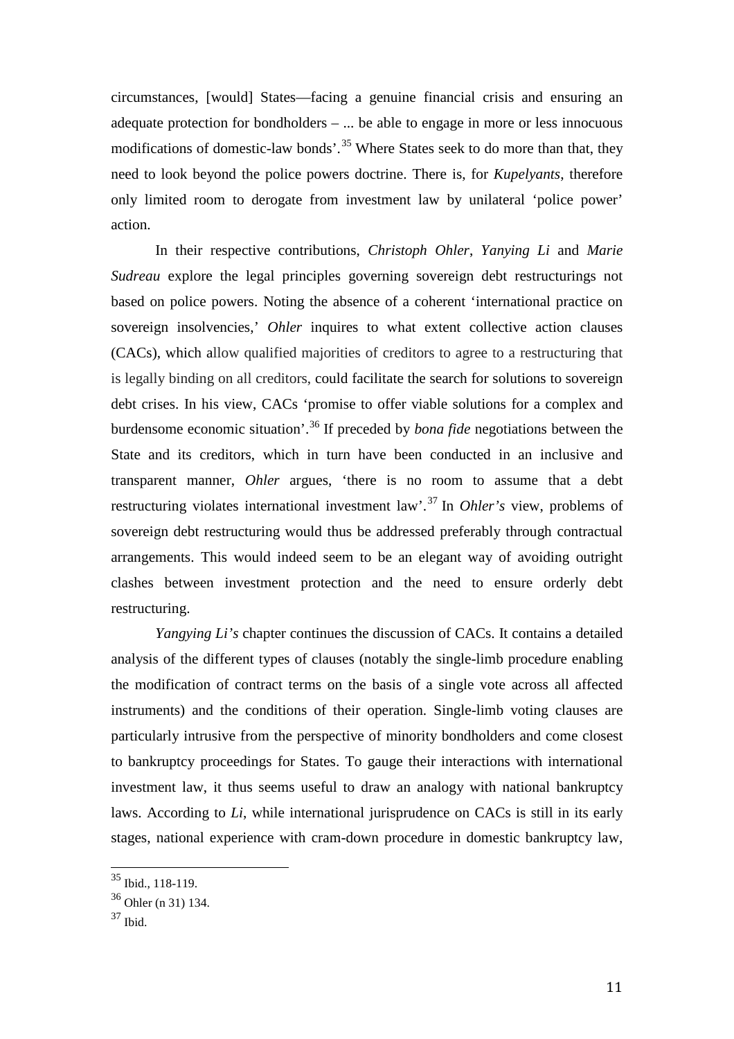circumstances, [would] States—facing a genuine financial crisis and ensuring an adequate protection for bondholders – ... be able to engage in more or less innocuous modifications of domestic-law bonds'.<sup>[35](#page-13-0)</sup> Where States seek to do more than that, they need to look beyond the police powers doctrine. There is, for *Kupelyants*, therefore only limited room to derogate from investment law by unilateral 'police power' action.

In their respective contributions, *Christoph Ohler*, *Yanying Li* and *Marie Sudreau* explore the legal principles governing sovereign debt restructurings not based on police powers. Noting the absence of a coherent 'international practice on sovereign insolvencies,' *Ohler* inquires to what extent collective action clauses (CACs), which allow qualified majorities of creditors to agree to a restructuring that is legally binding on all creditors, could facilitate the search for solutions to sovereign debt crises. In his view, CACs 'promise to offer viable solutions for a complex and burdensome economic situation'.[36](#page-13-1) If preceded by *bona fide* negotiations between the State and its creditors, which in turn have been conducted in an inclusive and transparent manner, *Ohler* argues, 'there is no room to assume that a debt restructuring violates international investment law'.[37](#page-13-2) In *Ohler's* view, problems of sovereign debt restructuring would thus be addressed preferably through contractual arrangements. This would indeed seem to be an elegant way of avoiding outright clashes between investment protection and the need to ensure orderly debt restructuring.

*Yangying Li's* chapter continues the discussion of CACs. It contains a detailed analysis of the different types of clauses (notably the single-limb procedure enabling the modification of contract terms on the basis of a single vote across all affected instruments) and the conditions of their operation. Single-limb voting clauses are particularly intrusive from the perspective of minority bondholders and come closest to bankruptcy proceedings for States. To gauge their interactions with international investment law, it thus seems useful to draw an analogy with national bankruptcy laws. According to *Li*, while international jurisprudence on CACs is still in its early stages, national experience with cram-down procedure in domestic bankruptcy law,

<span id="page-13-0"></span><sup>35</sup> Ibid., 118-119.

<span id="page-13-1"></span><sup>36</sup> Ohler (n 31) 134.

<span id="page-13-2"></span><sup>37</sup> Ibid.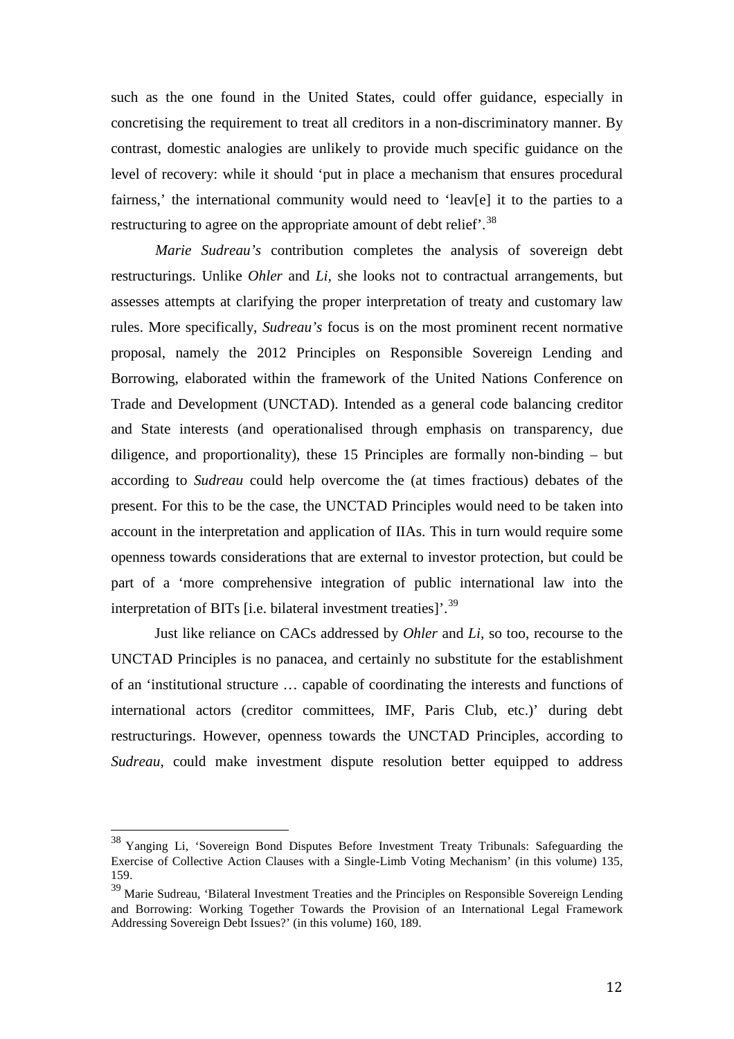such as the one found in the United States, could offer guidance, especially in concretising the requirement to treat all creditors in a non-discriminatory manner. By contrast, domestic analogies are unlikely to provide much specific guidance on the level of recovery: while it should 'put in place a mechanism that ensures procedural fairness,' the international community would need to 'leav[e] it to the parties to a restructuring to agree on the appropriate amount of debt relief'.<sup>[38](#page-14-0)</sup>

*Marie Sudreau's* contribution completes the analysis of sovereign debt restructurings. Unlike *Ohler* and *Li,* she looks not to contractual arrangements, but assesses attempts at clarifying the proper interpretation of treaty and customary law rules. More specifically, *Sudreau's* focus is on the most prominent recent normative proposal, namely the 2012 Principles on Responsible Sovereign Lending and Borrowing, elaborated within the framework of the United Nations Conference on Trade and Development (UNCTAD). Intended as a general code balancing creditor and State interests (and operationalised through emphasis on transparency, due diligence, and proportionality), these 15 Principles are formally non-binding – but according to *Sudreau* could help overcome the (at times fractious) debates of the present. For this to be the case, the UNCTAD Principles would need to be taken into account in the interpretation and application of IIAs. This in turn would require some openness towards considerations that are external to investor protection, but could be part of a 'more comprehensive integration of public international law into the interpretation of BITs [i.e. bilateral investment treaties]'.[39](#page-14-1)

Just like reliance on CACs addressed by *Ohler* and *Li*, so too, recourse to the UNCTAD Principles is no panacea, and certainly no substitute for the establishment of an 'institutional structure … capable of coordinating the interests and functions of international actors (creditor committees, IMF, Paris Club, etc.)' during debt restructurings. However, openness towards the UNCTAD Principles, according to *Sudreau*, could make investment dispute resolution better equipped to address

<span id="page-14-0"></span><sup>38</sup> Yanging Li, 'Sovereign Bond Disputes Before Investment Treaty Tribunals: Safeguarding the Exercise of Collective Action Clauses with a Single-Limb Voting Mechanism' (in this volume) 135, 159.

<span id="page-14-1"></span><sup>&</sup>lt;sup>39</sup> Marie Sudreau, 'Bilateral Investment Treaties and the Principles on Responsible Sovereign Lending and Borrowing: Working Together Towards the Provision of an International Legal Framework Addressing Sovereign Debt Issues?' (in this volume) 160, 189.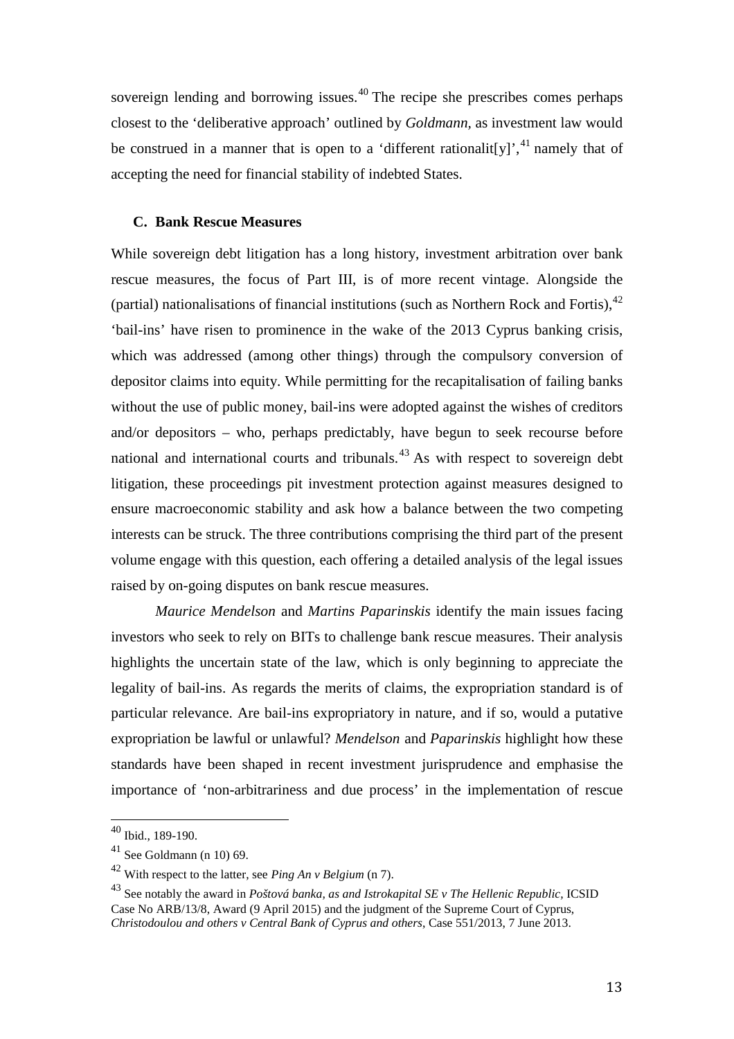sovereign lending and borrowing issues.<sup>[40](#page-15-0)</sup> The recipe she prescribes comes perhaps closest to the 'deliberative approach' outlined by *Goldmann,* as investment law would be construed in a manner that is open to a 'different rationalit[y]',  $^{41}$  $^{41}$  $^{41}$  namely that of accepting the need for financial stability of indebted States.

### **C. Bank Rescue Measures**

While sovereign debt litigation has a long history, investment arbitration over bank rescue measures, the focus of Part III, is of more recent vintage. Alongside the (partial) nationalisations of financial institutions (such as Northern Rock and Fortis), <sup>[42](#page-15-2)</sup> 'bail-ins' have risen to prominence in the wake of the 2013 Cyprus banking crisis, which was addressed (among other things) through the compulsory conversion of depositor claims into equity. While permitting for the recapitalisation of failing banks without the use of public money, bail-ins were adopted against the wishes of creditors and/or depositors – who, perhaps predictably, have begun to seek recourse before national and international courts and tribunals.<sup>[43](#page-15-3)</sup> As with respect to sovereign debt litigation, these proceedings pit investment protection against measures designed to ensure macroeconomic stability and ask how a balance between the two competing interests can be struck. The three contributions comprising the third part of the present volume engage with this question, each offering a detailed analysis of the legal issues raised by on-going disputes on bank rescue measures.

*Maurice Mendelson* and *Martins Paparinskis* identify the main issues facing investors who seek to rely on BITs to challenge bank rescue measures. Their analysis highlights the uncertain state of the law, which is only beginning to appreciate the legality of bail-ins. As regards the merits of claims, the expropriation standard is of particular relevance. Are bail-ins expropriatory in nature, and if so, would a putative expropriation be lawful or unlawful? *Mendelson* and *Paparinskis* highlight how these standards have been shaped in recent investment jurisprudence and emphasise the importance of 'non-arbitrariness and due process' in the implementation of rescue

<span id="page-15-0"></span><sup>40</sup> Ibid., 189-190.

 $41$  See Goldmann (n 10) 69.

<span id="page-15-2"></span><span id="page-15-1"></span><sup>42</sup> With respect to the latter, see *Ping An v Belgium* (n 7).

<span id="page-15-3"></span><sup>43</sup> See notably the award in *Poštová banka, as and Istrokapital SE v The Hellenic Republic,* ICSID Case No ARB/13/8, Award (9 April 2015) and the judgment of the Supreme Court of Cyprus, *Christodoulou and others v Central Bank of Cyprus and others*, Case 551/2013, 7 June 2013.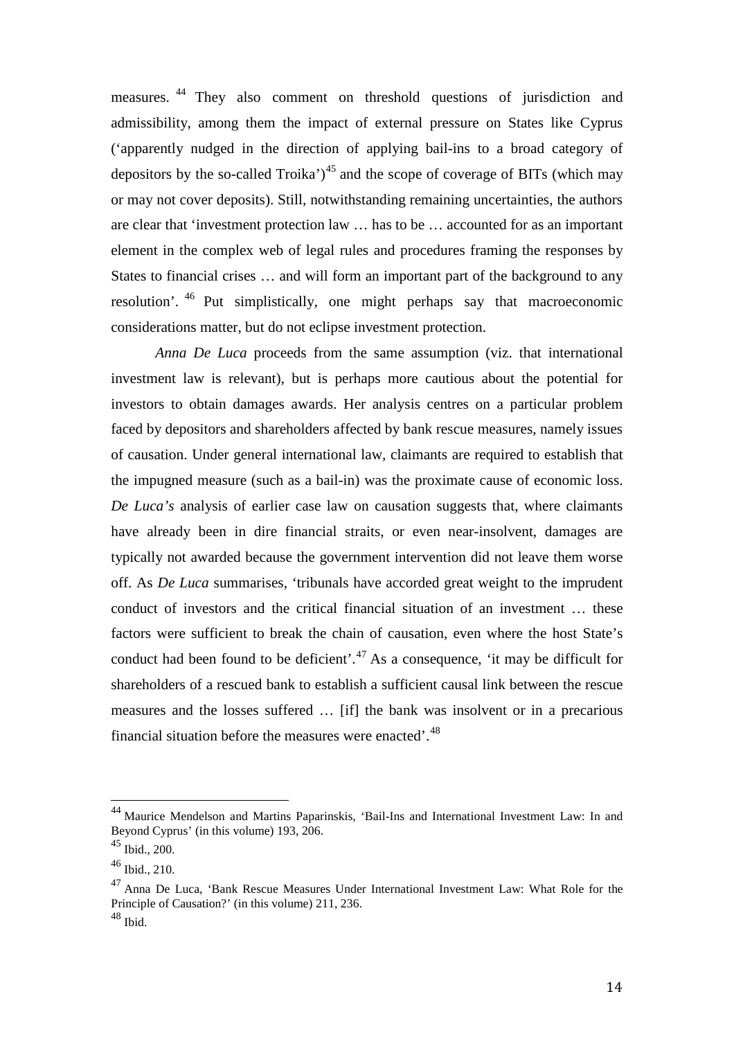measures. [44](#page-16-0) They also comment on threshold questions of jurisdiction and admissibility, among them the impact of external pressure on States like Cyprus ('apparently nudged in the direction of applying bail-ins to a broad category of depositors by the so-called Troika')<sup>[45](#page-16-1)</sup> and the scope of coverage of BITs (which may or may not cover deposits). Still, notwithstanding remaining uncertainties, the authors are clear that 'investment protection law … has to be … accounted for as an important element in the complex web of legal rules and procedures framing the responses by States to financial crises … and will form an important part of the background to any resolution'. [46](#page-16-2) Put simplistically, one might perhaps say that macroeconomic considerations matter, but do not eclipse investment protection.

*Anna De Luca* proceeds from the same assumption (viz. that international investment law is relevant), but is perhaps more cautious about the potential for investors to obtain damages awards. Her analysis centres on a particular problem faced by depositors and shareholders affected by bank rescue measures, namely issues of causation. Under general international law, claimants are required to establish that the impugned measure (such as a bail-in) was the proximate cause of economic loss. *De Luca's* analysis of earlier case law on causation suggests that, where claimants have already been in dire financial straits, or even near-insolvent, damages are typically not awarded because the government intervention did not leave them worse off. As *De Luca* summarises, 'tribunals have accorded great weight to the imprudent conduct of investors and the critical financial situation of an investment … these factors were sufficient to break the chain of causation, even where the host State's conduct had been found to be deficient'.<sup>[47](#page-16-3)</sup> As a consequence, 'it may be difficult for shareholders of a rescued bank to establish a sufficient causal link between the rescue measures and the losses suffered … [if] the bank was insolvent or in a precarious financial situation before the measures were enacted'.[48](#page-16-4)

<span id="page-16-0"></span><sup>44</sup> Maurice Mendelson and Martins Paparinskis, 'Bail-Ins and International Investment Law: In and Beyond Cyprus' (in this volume) 193, 206.

<span id="page-16-1"></span> $45$  Ibid., 200.

<span id="page-16-2"></span><sup>46</sup> Ibid., 210.

<span id="page-16-3"></span><sup>47</sup> Anna De Luca, 'Bank Rescue Measures Under International Investment Law: What Role for the Principle of Causation?' (in this volume) 211, 236.

<span id="page-16-4"></span><sup>48</sup> Ibid.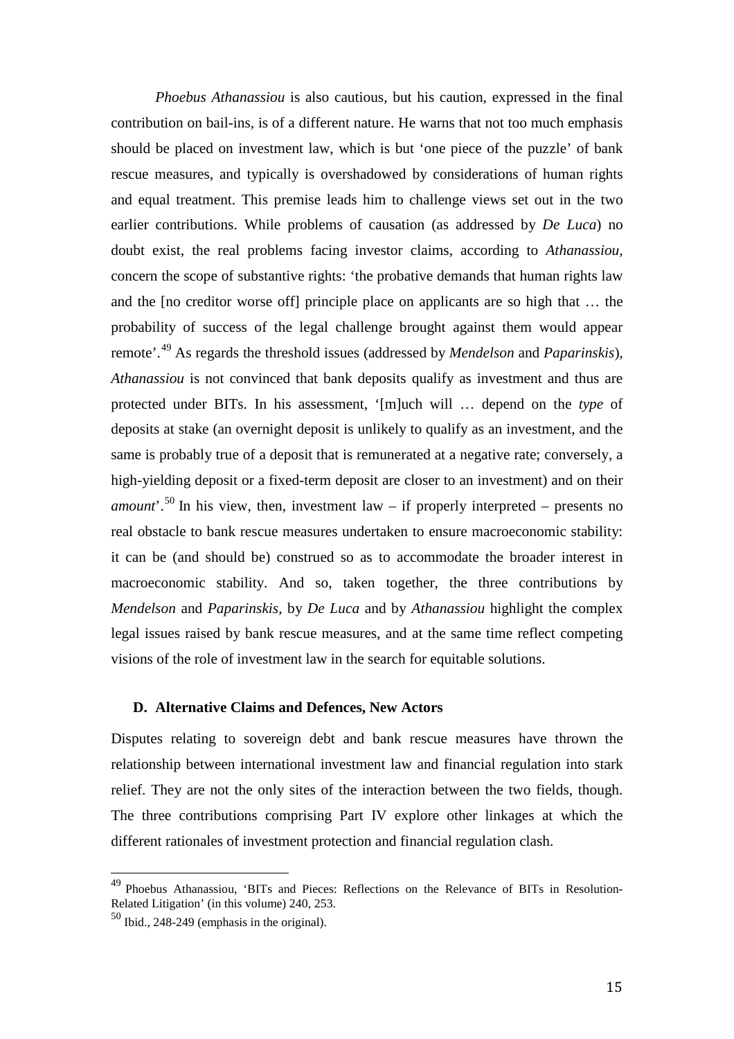*Phoebus Athanassiou* is also cautious, but his caution, expressed in the final contribution on bail-ins, is of a different nature. He warns that not too much emphasis should be placed on investment law, which is but 'one piece of the puzzle' of bank rescue measures, and typically is overshadowed by considerations of human rights and equal treatment. This premise leads him to challenge views set out in the two earlier contributions. While problems of causation (as addressed by *De Luca*) no doubt exist, the real problems facing investor claims, according to *Athanassiou,* concern the scope of substantive rights: 'the probative demands that human rights law and the [no creditor worse off] principle place on applicants are so high that … the probability of success of the legal challenge brought against them would appear remote'.[49](#page-17-0) As regards the threshold issues (addressed by *Mendelson* and *Paparinskis*)*, Athanassiou* is not convinced that bank deposits qualify as investment and thus are protected under BITs. In his assessment, '[m]uch will … depend on the *type* of deposits at stake (an overnight deposit is unlikely to qualify as an investment, and the same is probably true of a deposit that is remunerated at a negative rate; conversely, a high-yielding deposit or a fixed-term deposit are closer to an investment) and on their *amount*'.<sup>[50](#page-17-1)</sup> In his view, then, investment law – if properly interpreted – presents no real obstacle to bank rescue measures undertaken to ensure macroeconomic stability: it can be (and should be) construed so as to accommodate the broader interest in macroeconomic stability. And so, taken together, the three contributions by *Mendelson* and *Paparinskis,* by *De Luca* and by *Athanassiou* highlight the complex legal issues raised by bank rescue measures, and at the same time reflect competing visions of the role of investment law in the search for equitable solutions.

### **D. Alternative Claims and Defences, New Actors**

Disputes relating to sovereign debt and bank rescue measures have thrown the relationship between international investment law and financial regulation into stark relief. They are not the only sites of the interaction between the two fields, though. The three contributions comprising Part IV explore other linkages at which the different rationales of investment protection and financial regulation clash.

<span id="page-17-0"></span><sup>&</sup>lt;sup>49</sup> Phoebus Athanassiou, 'BITs and Pieces: Reflections on the Relevance of BITs in Resolution-Related Litigation' (in this volume) 240, 253.

<span id="page-17-1"></span> $50$  Ibid., 248-249 (emphasis in the original).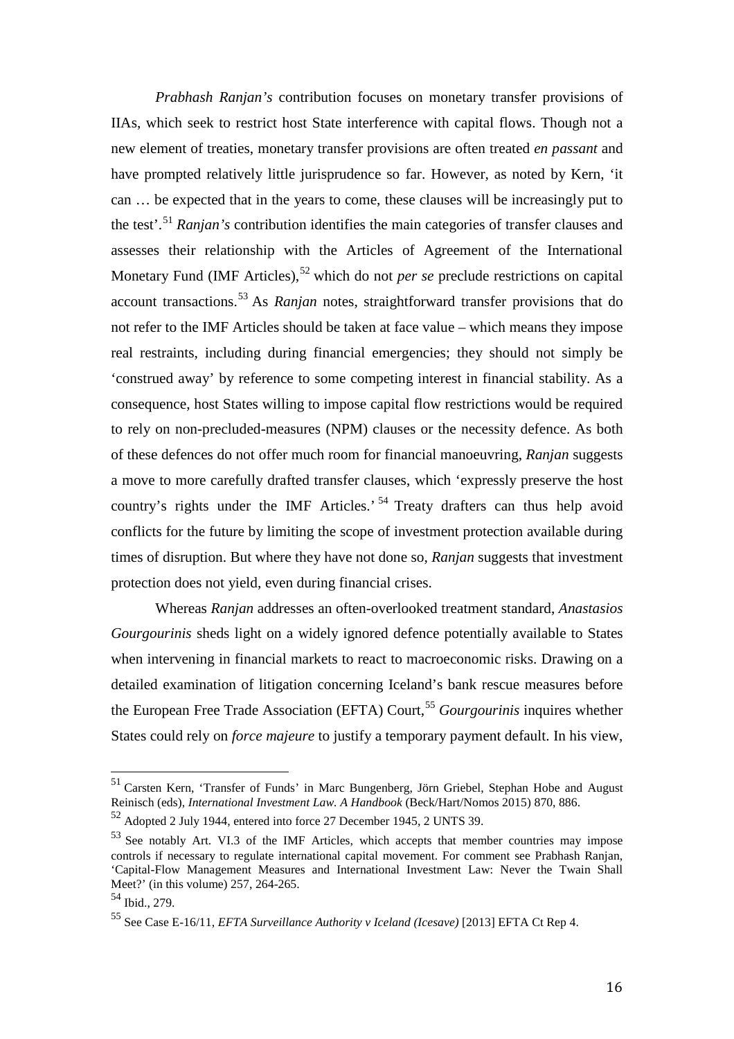*Prabhash Ranjan's* contribution focuses on monetary transfer provisions of IIAs, which seek to restrict host State interference with capital flows. Though not a new element of treaties, monetary transfer provisions are often treated *en passant* and have prompted relatively little jurisprudence so far. However, as noted by Kern, 'it can … be expected that in the years to come, these clauses will be increasingly put to the test'.<sup>[51](#page-18-0)</sup> *Ranjan's* contribution identifies the main categories of transfer clauses and assesses their relationship with the Articles of Agreement of the International Monetary Fund (IMF Articles),<sup>[52](#page-18-1)</sup> which do not *per se* preclude restrictions on capital account transactions.[53](#page-18-2) As *Ranjan* notes, straightforward transfer provisions that do not refer to the IMF Articles should be taken at face value – which means they impose real restraints, including during financial emergencies; they should not simply be 'construed away' by reference to some competing interest in financial stability. As a consequence, host States willing to impose capital flow restrictions would be required to rely on non-precluded-measures (NPM) clauses or the necessity defence. As both of these defences do not offer much room for financial manoeuvring, *Ranjan* suggests a move to more carefully drafted transfer clauses, which 'expressly preserve the host country's rights under the IMF Articles.' [54](#page-18-3) Treaty drafters can thus help avoid conflicts for the future by limiting the scope of investment protection available during times of disruption. But where they have not done so, *Ranjan* suggests that investment protection does not yield, even during financial crises.

Whereas *Ranjan* addresses an often-overlooked treatment standard, *Anastasios Gourgourinis* sheds light on a widely ignored defence potentially available to States when intervening in financial markets to react to macroeconomic risks. Drawing on a detailed examination of litigation concerning Iceland's bank rescue measures before the European Free Trade Association (EFTA) Court,<sup>[55](#page-18-4)</sup> *Gourgourinis* inquires whether States could rely on *force majeure* to justify a temporary payment default. In his view,

<span id="page-18-0"></span><sup>&</sup>lt;sup>51</sup> Carsten Kern, 'Transfer of Funds' in Marc Bungenberg, Jörn Griebel, Stephan Hobe and August Reinisch (eds), *International Investment Law. A Handbook* (Beck/Hart/Nomos 2015) 870, 886.

<sup>52</sup> Adopted 2 July 1944, entered into force 27 December 1945, 2 UNTS 39.

<span id="page-18-2"></span><span id="page-18-1"></span><sup>53</sup> See notably Art. VI.3 of the IMF Articles, which accepts that member countries may impose controls if necessary to regulate international capital movement. For comment see Prabhash Ranjan, 'Capital-Flow Management Measures and International Investment Law: Never the Twain Shall Meet?' (in this volume) 257, 264-265.

<span id="page-18-3"></span><sup>54</sup> Ibid., 279.

<span id="page-18-4"></span><sup>55</sup> See Case E-16/11, *EFTA Surveillance Authority v Iceland (Icesave)* [2013] EFTA Ct Rep 4.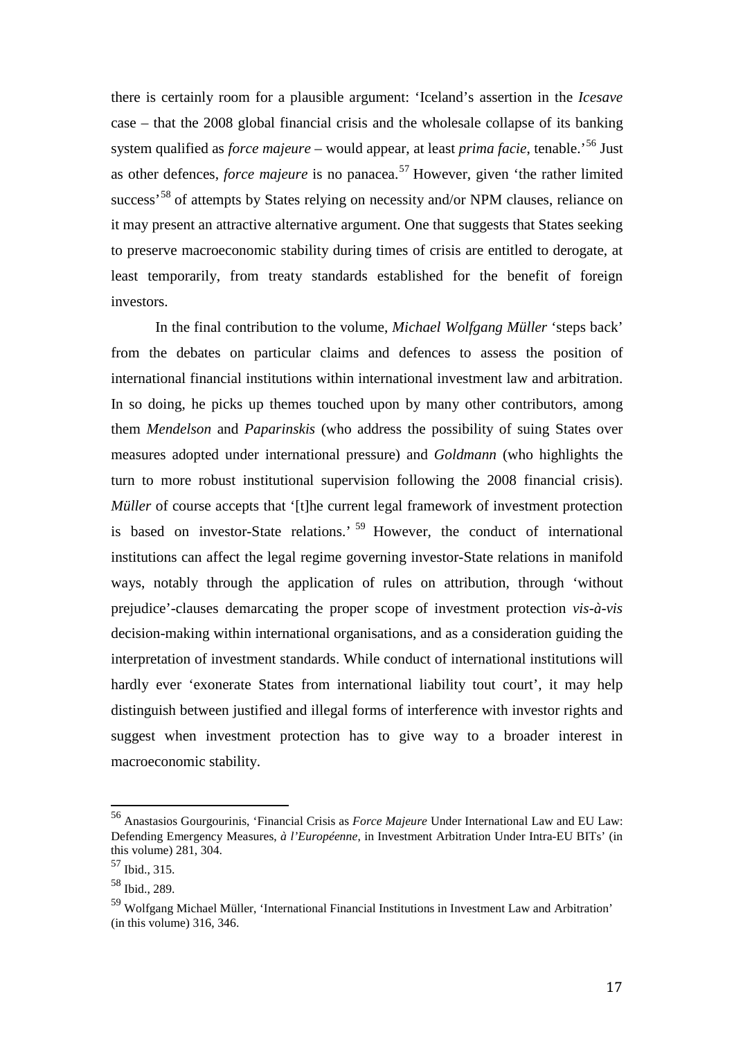there is certainly room for a plausible argument: 'Iceland's assertion in the *Icesave* case – that the 2008 global financial crisis and the wholesale collapse of its banking system qualified as *force majeure* – would appear, at least *prima facie*, tenable.'[56](#page-19-0) Just as other defences, *force majeure* is no panacea. [57](#page-19-1) However, given 'the rather limited success<sup>[58](#page-19-2)</sup> of attempts by States relying on necessity and/or NPM clauses, reliance on it may present an attractive alternative argument. One that suggests that States seeking to preserve macroeconomic stability during times of crisis are entitled to derogate, at least temporarily, from treaty standards established for the benefit of foreign investors.

In the final contribution to the volume, *Michael Wolfgang Müller* 'steps back' from the debates on particular claims and defences to assess the position of international financial institutions within international investment law and arbitration. In so doing, he picks up themes touched upon by many other contributors, among them *Mendelson* and *Paparinskis* (who address the possibility of suing States over measures adopted under international pressure) and *Goldmann* (who highlights the turn to more robust institutional supervision following the 2008 financial crisis). *Müller* of course accepts that '[t]he current legal framework of investment protection is based on investor-State relations.' [59](#page-19-3) However, the conduct of international institutions can affect the legal regime governing investor-State relations in manifold ways, notably through the application of rules on attribution, through 'without prejudice'-clauses demarcating the proper scope of investment protection *vis-à-vis* decision-making within international organisations, and as a consideration guiding the interpretation of investment standards. While conduct of international institutions will hardly ever 'exonerate States from international liability tout court', it may help distinguish between justified and illegal forms of interference with investor rights and suggest when investment protection has to give way to a broader interest in macroeconomic stability.

<span id="page-19-0"></span><sup>56</sup> Anastasios Gourgourinis, 'Financial Crisis as *Force Majeure* Under International Law and EU Law: Defending Emergency Measures, *à l'Européenne*, in Investment Arbitration Under Intra-EU BITs' (in this volume) 281, 304.

<span id="page-19-1"></span><sup>57</sup> Ibid., 315.

<span id="page-19-2"></span><sup>58</sup> Ibid., 289.

<span id="page-19-3"></span><sup>59</sup> Wolfgang Michael Müller, 'International Financial Institutions in Investment Law and Arbitration' (in this volume) 316, 346.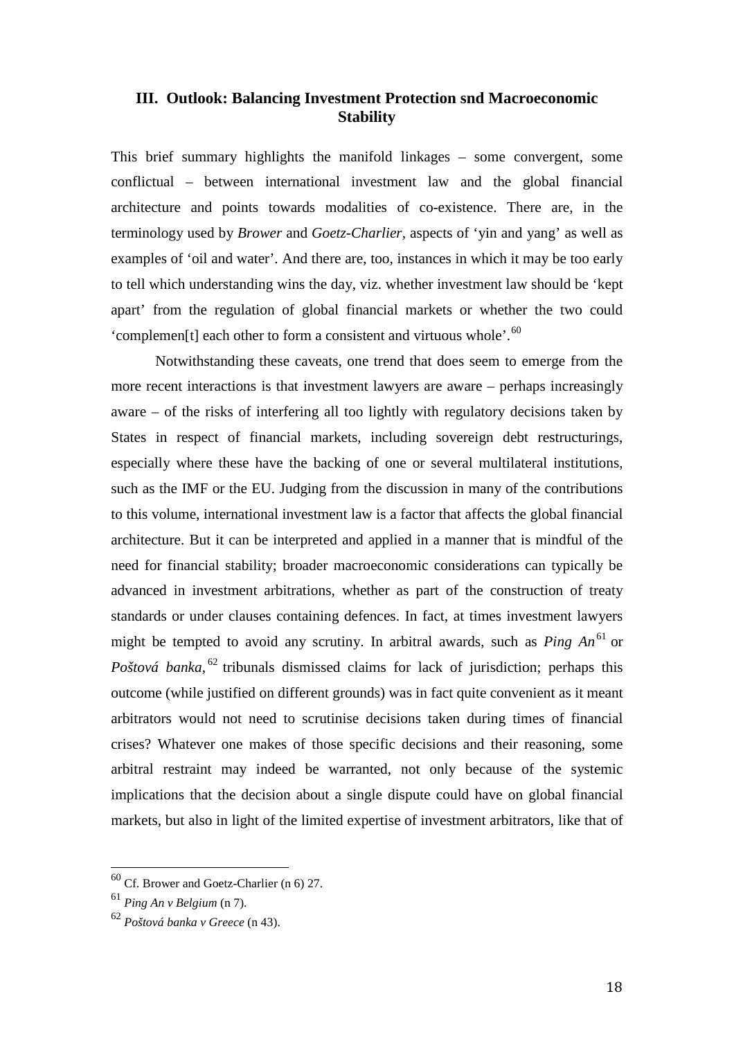## **III. Outlook: Balancing Investment Protection snd Macroeconomic Stability**

This brief summary highlights the manifold linkages – some convergent, some conflictual – between international investment law and the global financial architecture and points towards modalities of co-existence. There are, in the terminology used by *Brower* and *Goetz-Charlier*, aspects of 'yin and yang' as well as examples of 'oil and water'. And there are, too, instances in which it may be too early to tell which understanding wins the day, viz. whether investment law should be 'kept apart' from the regulation of global financial markets or whether the two could 'complemen[t] each other to form a consistent and virtuous whole'. $60$ 

Notwithstanding these caveats, one trend that does seem to emerge from the more recent interactions is that investment lawyers are aware – perhaps increasingly aware – of the risks of interfering all too lightly with regulatory decisions taken by States in respect of financial markets, including sovereign debt restructurings, especially where these have the backing of one or several multilateral institutions, such as the IMF or the EU. Judging from the discussion in many of the contributions to this volume, international investment law is a factor that affects the global financial architecture. But it can be interpreted and applied in a manner that is mindful of the need for financial stability; broader macroeconomic considerations can typically be advanced in investment arbitrations, whether as part of the construction of treaty standards or under clauses containing defences. In fact, at times investment lawyers might be tempted to avoid any scrutiny. In arbitral awards, such as *Ping An*<sup>[61](#page-20-1)</sup> or *Poštová banka*, [62](#page-20-2) tribunals dismissed claims for lack of jurisdiction; perhaps this outcome (while justified on different grounds) was in fact quite convenient as it meant arbitrators would not need to scrutinise decisions taken during times of financial crises? Whatever one makes of those specific decisions and their reasoning, some arbitral restraint may indeed be warranted, not only because of the systemic implications that the decision about a single dispute could have on global financial markets, but also in light of the limited expertise of investment arbitrators, like that of

<span id="page-20-0"></span> $60$  Cf. Brower and Goetz-Charlier (n 6) 27.

<span id="page-20-1"></span><sup>61</sup> *Ping An v Belgium* (n 7).

<span id="page-20-2"></span><sup>62</sup> *Poštová banka v Greece* (n 43).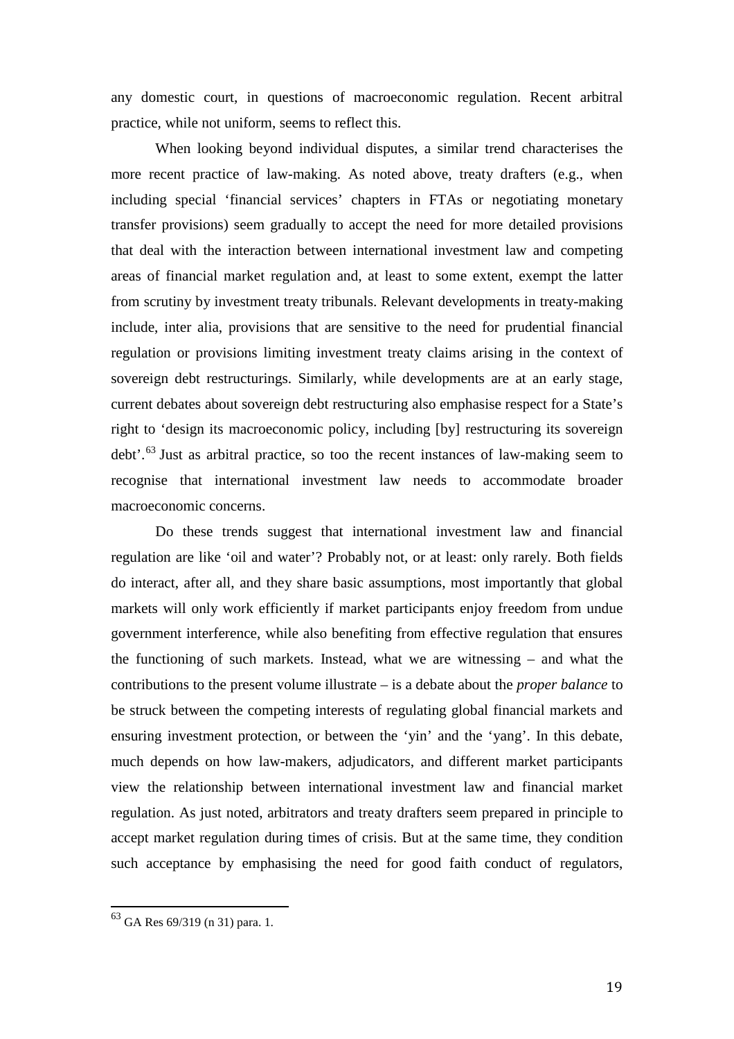any domestic court, in questions of macroeconomic regulation. Recent arbitral practice, while not uniform, seems to reflect this.

When looking beyond individual disputes, a similar trend characterises the more recent practice of law-making. As noted above, treaty drafters (e.g., when including special 'financial services' chapters in FTAs or negotiating monetary transfer provisions) seem gradually to accept the need for more detailed provisions that deal with the interaction between international investment law and competing areas of financial market regulation and, at least to some extent, exempt the latter from scrutiny by investment treaty tribunals. Relevant developments in treaty-making include, inter alia, provisions that are sensitive to the need for prudential financial regulation or provisions limiting investment treaty claims arising in the context of sovereign debt restructurings. Similarly, while developments are at an early stage, current debates about sovereign debt restructuring also emphasise respect for a State's right to 'design its macroeconomic policy, including [by] restructuring its sovereign debt'.<sup>[63](#page-21-0)</sup> Just as arbitral practice, so too the recent instances of law-making seem to recognise that international investment law needs to accommodate broader macroeconomic concerns.

Do these trends suggest that international investment law and financial regulation are like 'oil and water'? Probably not, or at least: only rarely. Both fields do interact, after all, and they share basic assumptions, most importantly that global markets will only work efficiently if market participants enjoy freedom from undue government interference, while also benefiting from effective regulation that ensures the functioning of such markets. Instead, what we are witnessing – and what the contributions to the present volume illustrate – is a debate about the *proper balance* to be struck between the competing interests of regulating global financial markets and ensuring investment protection, or between the 'yin' and the 'yang'. In this debate, much depends on how law-makers, adjudicators, and different market participants view the relationship between international investment law and financial market regulation. As just noted, arbitrators and treaty drafters seem prepared in principle to accept market regulation during times of crisis. But at the same time, they condition such acceptance by emphasising the need for good faith conduct of regulators,

<span id="page-21-0"></span><sup>63</sup> GA Res 69/319 (n 31) para. 1.